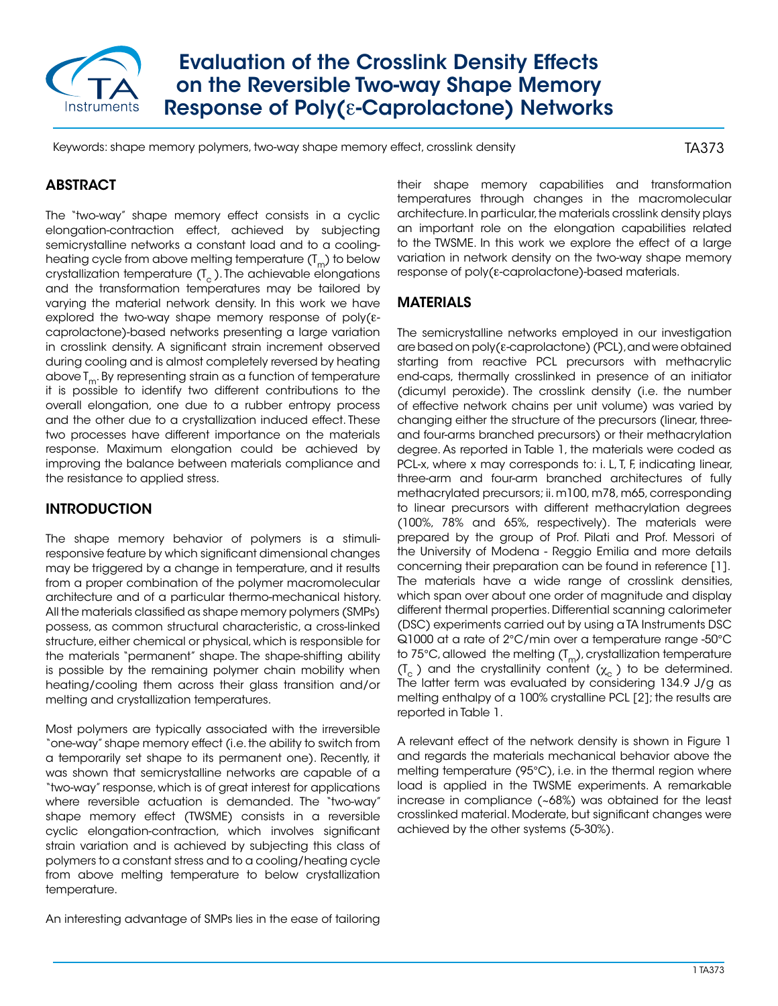

Evaluation of the Crosslink Density Effects on the Reversible Two-way Shape Memory Response of Poly(ε-Caprolactone) Networks

Keywords: shape memory polymers, two-way shape memory effect, crosslink density

TA373

# ABSTRACT

The "two-way" shape memory effect consists in a cyclic elongation-contraction effect, achieved by subjecting semicrystalline networks a constant load and to a coolingheating cycle from above melting temperature  $(T_m)$  to below crystallization temperature  $(I_c)$ . The achievable elongations and the transformation temperatures may be tailored by varying the material network density. In this work we have explored the two-way shape memory response of poly(εcaprolactone)-based networks presenting a large variation in crosslink density. A significant strain increment observed during cooling and is almost completely reversed by heating above  $T_m$ . By representing strain as a function of temperature it is possible to identify two different contributions to the overall elongation, one due to a rubber entropy process and the other due to a crystallization induced effect. These two processes have different importance on the materials response. Maximum elongation could be achieved by improving the balance between materials compliance and the resistance to applied stress.

## INTRODUCTION

The shape memory behavior of polymers is a stimuliresponsive feature by which significant dimensional changes may be triggered by a change in temperature, and it results from a proper combination of the polymer macromolecular architecture and of a particular thermo-mechanical history. All the materials classified as shape memory polymers (SMPs) possess, as common structural characteristic, a cross-linked structure, either chemical or physical, which is responsible for the materials "permanent" shape. The shape-shifting ability is possible by the remaining polymer chain mobility when heating/cooling them across their glass transition and/or melting and crystallization temperatures.

Most polymers are typically associated with the irreversible "one-way" shape memory effect (i.e. the ability to switch from a temporarily set shape to its permanent one). Recently, it was shown that semicrystalline networks are capable of a "two-way" response, which is of great interest for applications where reversible actuation is demanded. The "two-way" shape memory effect (TWSME) consists in a reversible cyclic elongation-contraction, which involves significant strain variation and is achieved by subjecting this class of polymers to a constant stress and to a cooling/heating cycle from above melting temperature to below crystallization temperature.

An interesting advantage of SMPs lies in the ease of tailoring

their shape memory capabilities and transformation temperatures through changes in the macromolecular architecture. In particular, the materials crosslink density plays an important role on the elongation capabilities related to the TWSME. In this work we explore the effect of a large variation in network density on the two-way shape memory response of poly(ε-caprolactone)-based materials.

#### MATERIALS

The semicrystalline networks employed in our investigation are based on poly(ε-caprolactone) (PCL), and were obtained starting from reactive PCL precursors with methacrylic end-caps, thermally crosslinked in presence of an initiator (dicumyl peroxide). The crosslink density (i.e. the number of effective network chains per unit volume) was varied by changing either the structure of the precursors (linear, threeand four-arms branched precursors) or their methacrylation degree. As reported in Table 1, the materials were coded as PCL-x, where x may corresponds to: i. L, T, F, indicating linear, three-arm and four-arm branched architectures of fully methacrylated precursors; ii. m100, m78, m65, corresponding to linear precursors with different methacrylation degrees (100%, 78% and 65%, respectively). The materials were prepared by the group of Prof. Pilati and Prof. Messori of the University of Modena - Reggio Emilia and more details concerning their preparation can be found in reference [1]. The materials have a wide range of crosslink densities, which span over about one order of magnitude and display different thermal properties. Differential scanning calorimeter (DSC) experiments carried out by using a TA Instruments DSC Q1000 at a rate of 2°C/min over a temperature range -50°C to 75°C, allowed the melting  $(T_m)$ , crystallization temperature  $(T_c)$  and the crystallinity content  $(\chi_c)$  to be determined. The latter term was evaluated by considering 134.9 J/g as melting enthalpy of a 100% crystalline PCL [2]; the results are reported in Table 1.

A relevant effect of the network density is shown in Figure 1 and regards the materials mechanical behavior above the melting temperature (95°C), i.e. in the thermal region where load is applied in the TWSME experiments. A remarkable increase in compliance (~68%) was obtained for the least crosslinked material. Moderate, but significant changes were achieved by the other systems (5-30%).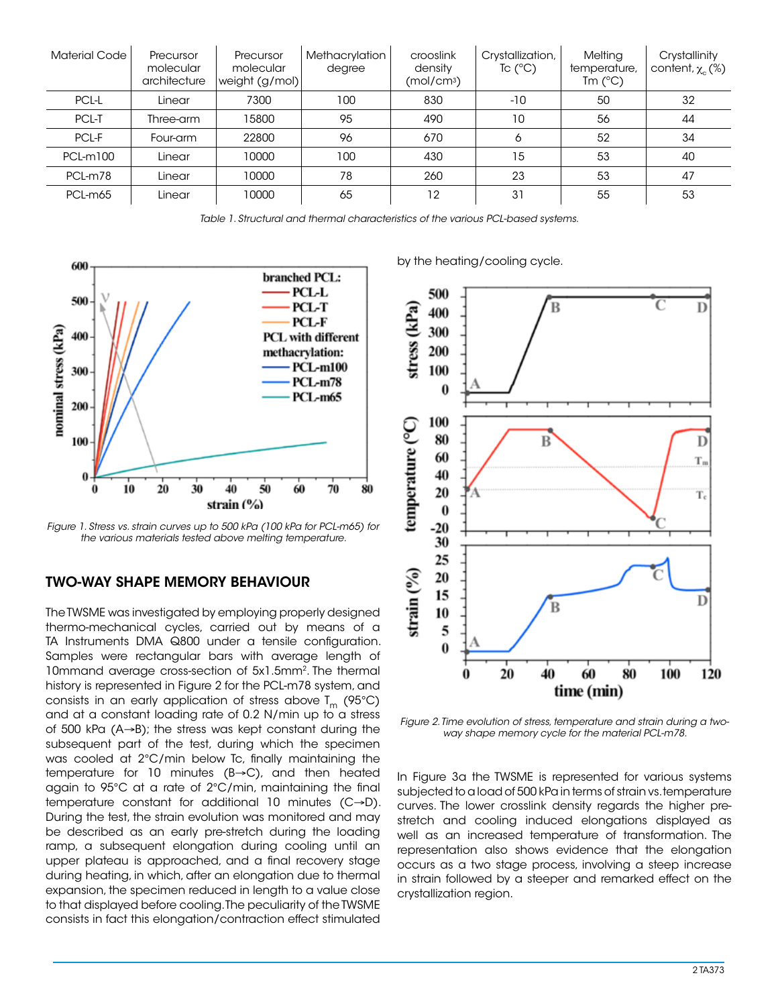| <b>Material Code</b> | Precursor<br>molecular<br>architecture | Precursor<br>molecular<br>weight (g/mol) | Methacrylation<br>degree | crooslink<br>density<br>(mol/cm <sup>3</sup> ) | Crystallization,<br>Tc $(^{\circ}C)$ | Melting<br>temperature,<br>$Tm$ ( $^{\circ}$ C) | Crystallinity<br>content, $\chi$ <sub>c</sub> (%) |
|----------------------|----------------------------------------|------------------------------------------|--------------------------|------------------------------------------------|--------------------------------------|-------------------------------------------------|---------------------------------------------------|
| PCL-L                | Linear                                 | 7300                                     | 100                      | 830                                            | $-10$                                | 50                                              | 32                                                |
| PCL-T                | Three-arm                              | 15800                                    | 95                       | 490                                            | 10                                   | 56                                              | 44                                                |
| PCL-F                | Four-arm                               | 22800                                    | 96                       | 670                                            | 6                                    | 52                                              | 34                                                |
| PCL-m100             | Linear                                 | 10000                                    | 100                      | 430                                            | 15                                   | 53                                              | 40                                                |
| PCL-m78              | Linear                                 | 10000                                    | 78                       | 260                                            | 23                                   | 53                                              | 47                                                |
| PCL-m65              | Linear                                 | 10000                                    | 65                       | 12                                             | 31                                   | 55                                              | 53                                                |

*Table 1. Structural and thermal characteristics of the various PCL-based systems.*



*Figure 1. Stress vs. strain curves up to 500 kPa (100 kPa for PCL-m65) for the various materials tested above melting temperature.*

## TWO-WAY SHAPE MEMORY BEHAVIOUR

The TWSME was investigated by employing properly designed thermo-mechanical cycles, carried out by means of a TA Instruments DMA Q800 under a tensile configuration. Samples were rectangular bars with average length of 10mmand average cross-section of 5x1.5mm2. The thermal history is represented in Figure 2 for the PCL-m78 system, and consists in an early application of stress above  $T_m$  (95°C) and at a constant loading rate of 0.2 N/min up to a stress of 500 kPa (A→B); the stress was kept constant during the subsequent part of the test, during which the specimen was cooled at 2°C/min below Tc, finally maintaining the temperature for 10 minutes (B→C), and then heated again to 95°C at a rate of 2°C/min, maintaining the final temperature constant for additional 10 minutes (C→D). During the test, the strain evolution was monitored and may be described as an early pre-stretch during the loading ramp, a subsequent elongation during cooling until an upper plateau is approached, and a final recovery stage during heating, in which, after an elongation due to thermal expansion, the specimen reduced in length to a value close to that displayed before cooling. The peculiarity of the TWSME consists in fact this elongation/contraction effect stimulated

by the heating/cooling cycle.



*Figure 2. Time evolution of stress, temperature and strain during a twoway shape memory cycle for the material PCL-m78.*

In Figure 3a the TWSME is represented for various systems subjected to a load of 500 kPa in terms of strain vs. temperature curves. The lower crosslink density regards the higher prestretch and cooling induced elongations displayed as well as an increased temperature of transformation. The representation also shows evidence that the elongation occurs as a two stage process, involving a steep increase in strain followed by a steeper and remarked effect on the crystallization region.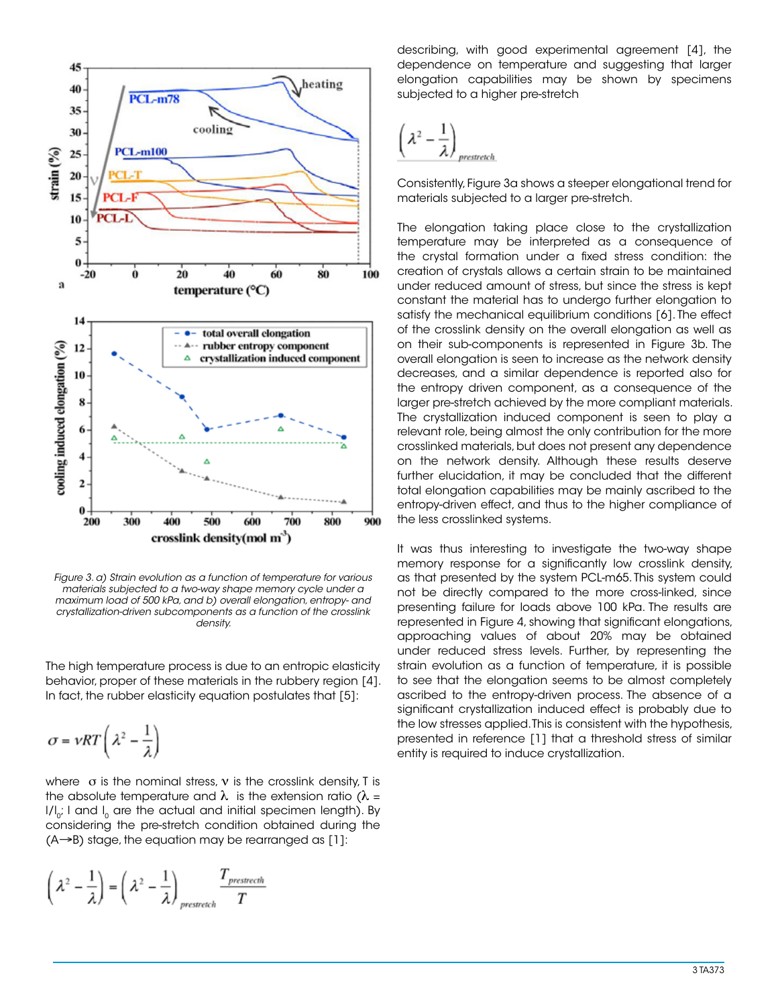

*Figure 3. a) Strain evolution as a function of temperature for various materials subjected to a two-way shape memory cycle under a maximum load of 500 kPa, and b) overall elongation, entropy- and crystallization-driven subcomponents as a function of the crosslink density.*

The high temperature process is due to an entropic elasticity behavior, proper of these materials in the rubbery region [4]. In fact, the rubber elasticity equation postulates that [5]:

$$
\sigma = \nu RT \left( \lambda^2 - \frac{1}{\lambda} \right)
$$

where  $\sigma$  is the nominal stress,  $v$  is the crosslink density, T is the absolute temperature and  $\lambda$  is the extension ratio ( $\lambda$  =  $I/I_{0}$ ; I and I<sub>0</sub> are the actual and initial specimen length). By considering the pre-stretch condition obtained during the  $(A\rightarrow B)$  stage, the equation may be rearranged as [1]:

$$
\left(\lambda^2 - \frac{1}{\lambda}\right) = \left(\lambda^2 - \frac{1}{\lambda}\right)_{prestretch} \frac{T_{prestrecht}}{T}
$$

describing, with good experimental agreement [4], the dependence on temperature and suggesting that larger elongation capabilities may be shown by specimens subjected to a higher pre-stretch

$$
\left(\lambda^2-\frac{1}{\lambda}\right)_{prestrech}
$$

Consistently, Figure 3a shows a steeper elongational trend for materials subjected to a larger pre-stretch.

The elongation taking place close to the crystallization temperature may be interpreted as a consequence of the crystal formation under a fixed stress condition: the creation of crystals allows a certain strain to be maintained under reduced amount of stress, but since the stress is kept constant the material has to undergo further elongation to satisfy the mechanical equilibrium conditions [6]. The effect of the crosslink density on the overall elongation as well as on their sub-components is represented in Figure 3b. The overall elongation is seen to increase as the network density decreases, and a similar dependence is reported also for the entropy driven component, as a consequence of the larger pre-stretch achieved by the more compliant materials. The crystallization induced component is seen to play a relevant role, being almost the only contribution for the more crosslinked materials, but does not present any dependence on the network density. Although these results deserve further elucidation, it may be concluded that the different total elongation capabilities may be mainly ascribed to the entropy-driven effect, and thus to the higher compliance of the less crosslinked systems.

It was thus interesting to investigate the two-way shape memory response for a significantly low crosslink density, as that presented by the system PCL-m65. This system could not be directly compared to the more cross-linked, since presenting failure for loads above 100 kPa. The results are represented in Figure 4, showing that significant elongations, approaching values of about 20% may be obtained under reduced stress levels. Further, by representing the strain evolution as a function of temperature, it is possible to see that the elongation seems to be almost completely ascribed to the entropy-driven process. The absence of a significant crystallization induced effect is probably due to the low stresses applied. This is consistent with the hypothesis, presented in reference [1] that a threshold stress of similar entity is required to induce crystallization.